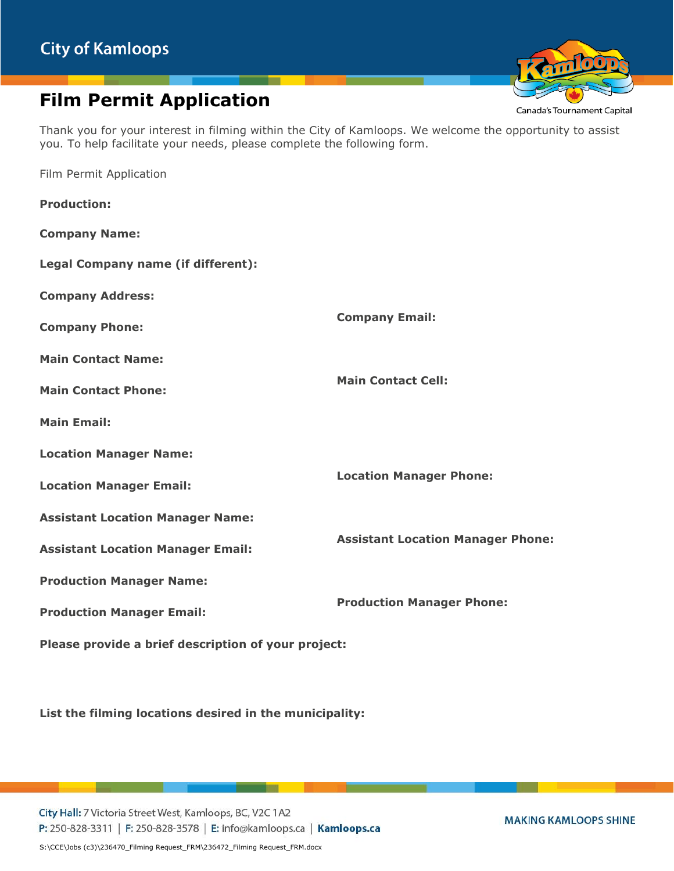## **Film Permit Application**

Thank you for your interest in filming within the City of Kamloops. We welcome the opportunity to assist you. To help facilitate your needs, please complete the following form.

Film Permit Application

| <b>Production:</b>                                  |                                          |  |
|-----------------------------------------------------|------------------------------------------|--|
| <b>Company Name:</b>                                |                                          |  |
| Legal Company name (if different):                  |                                          |  |
| <b>Company Address:</b>                             |                                          |  |
| <b>Company Phone:</b>                               | <b>Company Email:</b>                    |  |
| <b>Main Contact Name:</b>                           |                                          |  |
| <b>Main Contact Phone:</b>                          | <b>Main Contact Cell:</b>                |  |
| <b>Main Email:</b>                                  |                                          |  |
| <b>Location Manager Name:</b>                       |                                          |  |
| <b>Location Manager Email:</b>                      | <b>Location Manager Phone:</b>           |  |
| <b>Assistant Location Manager Name:</b>             |                                          |  |
| <b>Assistant Location Manager Email:</b>            | <b>Assistant Location Manager Phone:</b> |  |
| <b>Production Manager Name:</b>                     |                                          |  |
| <b>Production Manager Email:</b>                    | <b>Production Manager Phone:</b>         |  |
| Please provide a brief description of your project: |                                          |  |

**List the filming locations desired in the municipality:**

City Hall: 7 Victoria Street West, Kamloops, BC, V2C 1A2 P: 250-828-3311 | F: 250-828-3578 | E: info@kamloops.ca | Kamloops.ca Canada's Tournament Capital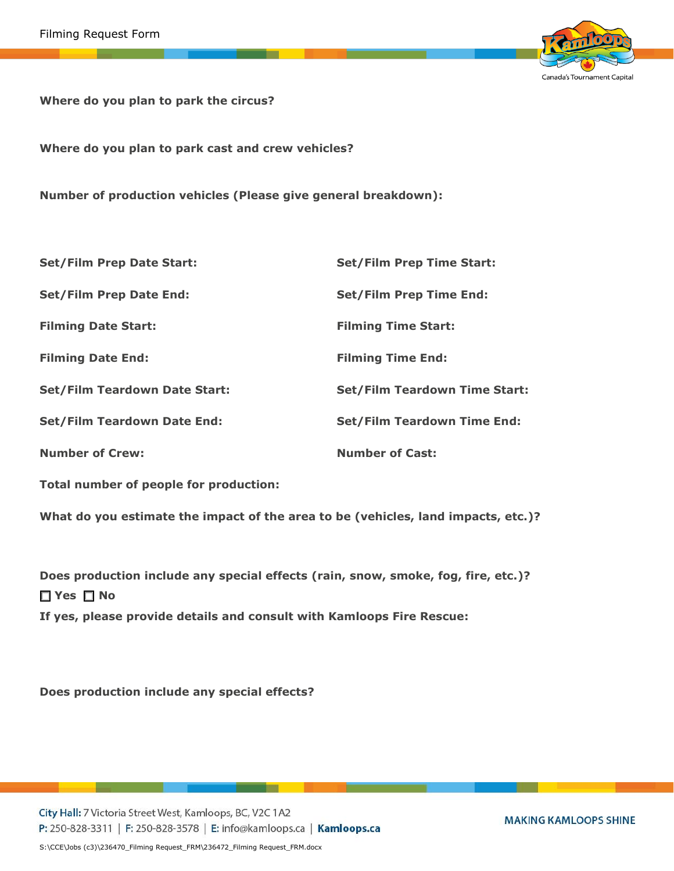

**Where do you plan to park the circus?** 

**Where do you plan to park cast and crew vehicles?**

**Number of production vehicles (Please give general breakdown):**

| <b>Set/Film Prep Date Start:</b>     | <b>Set/Film Prep Time Start:</b>     |
|--------------------------------------|--------------------------------------|
| <b>Set/Film Prep Date End:</b>       | <b>Set/Film Prep Time End:</b>       |
| <b>Filming Date Start:</b>           | <b>Filming Time Start:</b>           |
| <b>Filming Date End:</b>             | <b>Filming Time End:</b>             |
| <b>Set/Film Teardown Date Start:</b> | <b>Set/Film Teardown Time Start:</b> |
| <b>Set/Film Teardown Date End:</b>   | <b>Set/Film Teardown Time End:</b>   |
| <b>Number of Crew:</b>               | <b>Number of Cast:</b>               |

**Total number of people for production:**

**What do you estimate the impact of the area to be (vehicles, land impacts, etc.)?**

**Does production include any special effects (rain, snow, smoke, fog, fire, etc.)?** ☐ **Yes** ☐ **No If yes, please provide details and consult with Kamloops Fire Rescue:**

**Does production include any special effects?**

City Hall: 7 Victoria Street West, Kamloops, BC, V2C 1A2 P: 250-828-3311 | F: 250-828-3578 | E: info@kamloops.ca | Kamloops.ca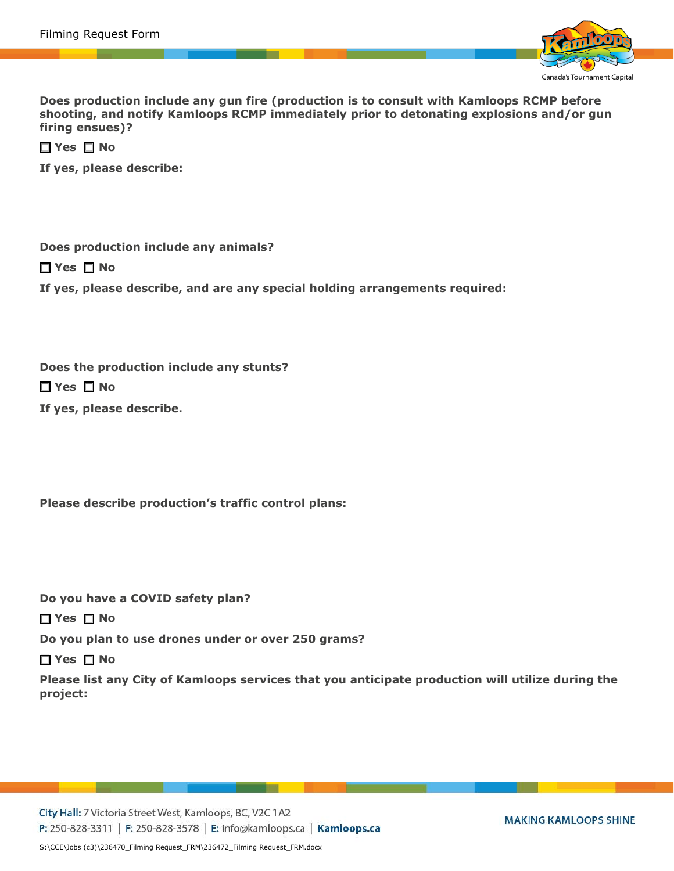

**Does production include any gun fire (production is to consult with Kamloops RCMP before shooting, and notify Kamloops RCMP immediately prior to detonating explosions and/or gun firing ensues)?**

☐ **Yes** ☐ **No**

**If yes, please describe:**

**Does production include any animals?** ☐ **Yes** ☐ **No If yes, please describe, and are any special holding arrangements required:**

**Does the production include any stunts?**

☐ **Yes** ☐ **No**

**If yes, please describe.**

**Please describe production's traffic control plans:**

**Do you have a COVID safety plan?**

☐ **Yes** ☐ **No**

**Do you plan to use drones under or over 250 grams?**

☐ **Yes** ☐ **No**

**Please list any City of Kamloops services that you anticipate production will utilize during the project:**

City Hall: 7 Victoria Street West, Kamloops, BC, V2C 1A2 P: 250-828-3311 | F: 250-828-3578 | E: info@kamloops.ca | Kamloops.ca